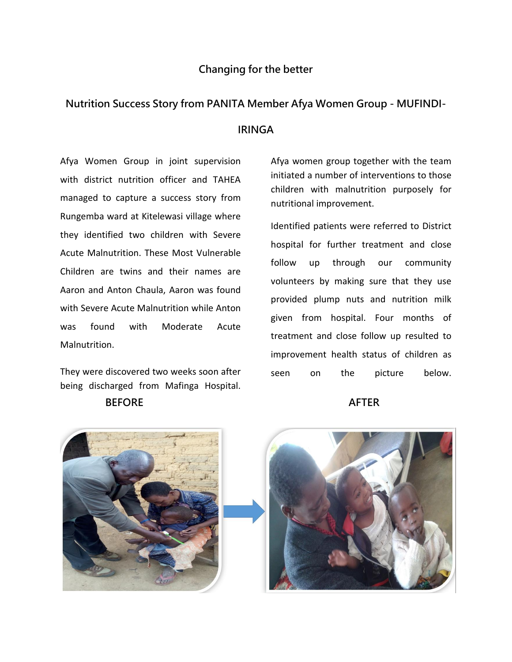## **Changing for the better**

# **Nutrition Success Story from PANITA Member Afya Women Group - MUFINDI-**

### **IRINGA**

Afya Women Group in joint supervision with district nutrition officer and TAHEA managed to capture a success story from Rungemba ward at Kitelewasi village where they identified two children with Severe Acute Malnutrition. These Most Vulnerable Children are twins and their names are Aaron and Anton Chaula, Aaron was found with Severe Acute Malnutrition while Anton was found with Moderate Acute Malnutrition.

They were discovered two weeks soon after being discharged from Mafinga Hospital.

### **BEFORE** AFTER

Afya women group together with the team initiated a number of interventions to those children with malnutrition purposely for nutritional improvement.

Identified patients were referred to District hospital for further treatment and close follow up through our community volunteers by making sure that they use provided plump nuts and nutrition milk given from hospital. Four months of treatment and close follow up resulted to improvement health status of children as seen on the picture below.